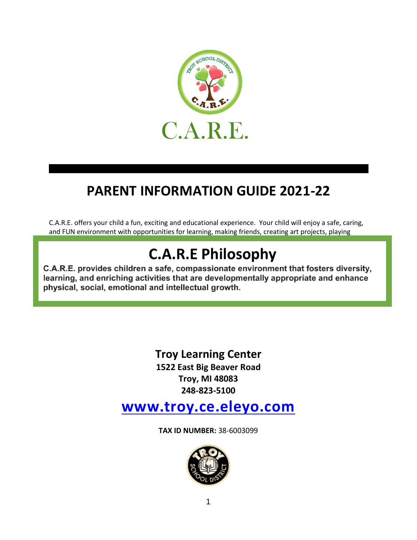

## **PARENT INFORMATION GUIDE 2021-22**

C.A.R.E. offers your child a fun, exciting and educational experience. Your child will enjoy a safe, caring, and FUN environment with opportunities for learning, making friends, creating art projects, playing

## outdoors, along with many more opportunities to the many more opportunities to  $\mu$ **C.A.R.E Philosophy**

C.A.R.E. provides children a safe, compassionate environment that fosters diversity, learning, and enriching activities that are developmentally appropriate and enhance physical, social, emotional and intellectual growth.

> **Troy Learning Center 1522 East Big Beaver Road Troy, MI 48083 248-823-5100**

**www.troy.ce.eleyo.com**

**TAX ID NUMBER:** 38-6003099

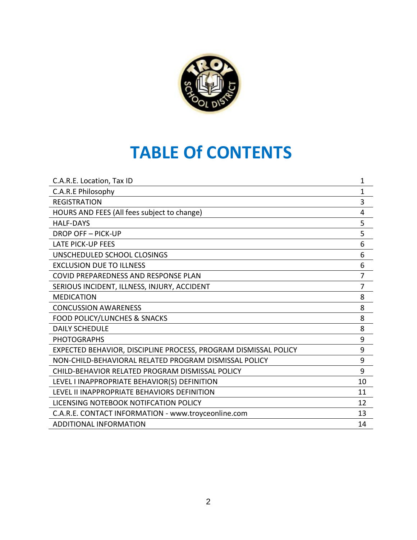

# **TABLE Of CONTENTS**

| C.A.R.E Philosophy<br>$\mathbf{1}$<br><b>REGISTRATION</b><br>3       |
|----------------------------------------------------------------------|
|                                                                      |
|                                                                      |
| HOURS AND FEES (All fees subject to change)<br>4                     |
| 5<br><b>HALF-DAYS</b>                                                |
| 5<br><b>DROP OFF-PICK-UP</b>                                         |
| <b>LATE PICK-UP FEES</b><br>6                                        |
| 6<br>UNSCHEDULED SCHOOL CLOSINGS                                     |
| <b>EXCLUSION DUE TO ILLNESS</b><br>6                                 |
| $\overline{7}$<br>COVID PREPAREDNESS AND RESPONSE PLAN               |
| 7<br>SERIOUS INCIDENT, ILLNESS, INJURY, ACCIDENT                     |
| <b>MEDICATION</b><br>8                                               |
| <b>CONCUSSION AWARENESS</b><br>8                                     |
| <b>FOOD POLICY/LUNCHES &amp; SNACKS</b><br>8                         |
| 8<br><b>DAILY SCHEDULE</b>                                           |
| 9<br><b>PHOTOGRAPHS</b>                                              |
| 9<br>EXPECTED BEHAVIOR, DISCIPLINE PROCESS, PROGRAM DISMISSAL POLICY |
| 9<br>NON-CHILD-BEHAVIORAL RELATED PROGRAM DISMISSAL POLICY           |
| 9<br>CHILD-BEHAVIOR RELATED PROGRAM DISMISSAL POLICY                 |
| LEVEL I INAPPROPRIATE BEHAVIOR(S) DEFINITION<br>10                   |
| LEVEL II INAPPROPRIATE BEHAVIORS DEFINITION<br>11                    |
| LICENSING NOTEBOOK NOTIFCATION POLICY<br>12                          |
| C.A.R.E. CONTACT INFORMATION - www.troyceonline.com<br>13            |
| <b>ADDITIONAL INFORMATION</b><br>14                                  |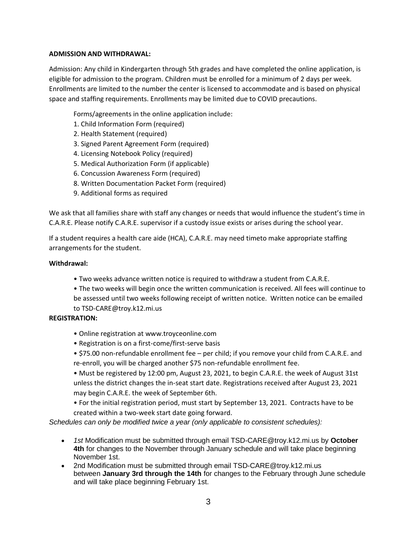#### **ADMISSION AND WITHDRAWAL:**

Admission: Any child in Kindergarten through 5th grades and have completed the online application, is eligible for admission to the program. Children must be enrolled for a minimum of 2 days per week. Enrollments are limited to the number the center is licensed to accommodate and is based on physical space and staffing requirements. Enrollments may be limited due to COVID precautions.

Forms/agreements in the online application include:

- 1. Child Information Form (required)
- 2. Health Statement (required)
- 3. Signed Parent Agreement Form (required)
- 4. Licensing Notebook Policy (required)
- 5. Medical Authorization Form (if applicable)
- 6. Concussion Awareness Form (required)
- 8. Written Documentation Packet Form (required)
- 9. Additional forms as required

We ask that all families share with staff any changes or needs that would influence the student's time in C.A.R.E. Please notify C.A.R.E. supervisor if a custody issue exists or arises during the school year.

If a student requires a health care aide (HCA), C.A.R.E. may need timeto make appropriate staffing arrangements for the student.

#### **Withdrawal:**

- Two weeks advance written notice is required to withdraw a student from C.A.R.E.
- The two weeks will begin once the written communication is received. All fees will continue to be assessed until two weeks following receipt of written notice. Written notice can be emailed to TSD-CARE@troy.k12.mi.us

#### **REGISTRATION:**

- Online registration at www.troyceonline.com
- Registration is on a first-come/first-serve basis
- \$75.00 non-refundable enrollment fee per child; if you remove your child from C.A.R.E. and re-enroll, you will be charged another \$75 non-refundable enrollment fee.
- Must be registered by 12:00 pm, August 23, 2021, to begin C.A.R.E. the week of August 31st unless the district changes the in-seat start date. Registrations received after August 23, 2021 may begin C.A.R.E. the week of September 6th.

• For the initial registration period, must start by September 13, 2021. Contracts have to be created within a two-week start date going forward.

*Schedules can only be modified twice a year (only applicable to consistent schedules):*

- *1st* Modification must be submitted through email TSD-CARE@troy.k12.mi.us by **October 4th** for changes to the November through January schedule and will take place beginning November 1st.
- 2nd Modification must be submitted through email TSD-CARE@troy.k12.mi.us between **January 3rd through the 14th** for changes to the February through June schedule and will take place beginning February 1st.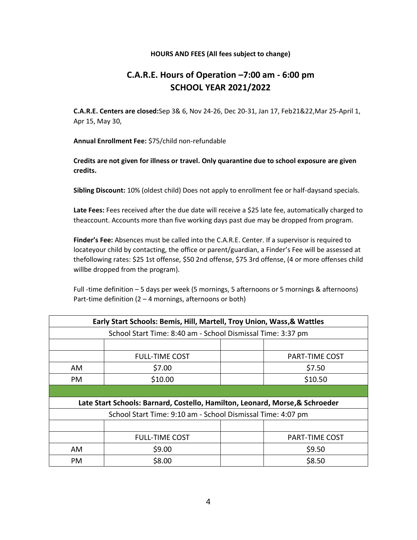#### **HOURS AND FEES (All fees subject to change)**

## **C.A.R.E. Hours of Operation –7:00 am - 6:00 pm SCHOOL YEAR 2021/2022**

**C.A.R.E. Centers are closed:**Sep 3& 6, Nov 24-26, Dec 20-31, Jan 17, Feb21&22,Mar 25-April 1, Apr 15, May 30,

**Annual Enrollment Fee:** \$75/child non-refundable

**Credits are not given for illness or travel. Only quarantine due to school exposure are given credits.**

**Sibling Discount:** 10% (oldest child) Does not apply to enrollment fee or half-daysand specials.

**Late Fees:** Fees received after the due date will receive a \$25 late fee, automatically charged to theaccount. Accounts more than five working days past due may be dropped from program.

**Finder's Fee:** Absences must be called into the C.A.R.E. Center. If a supervisor is required to locateyour child by contacting, the office or parent/guardian, a Finder's Fee will be assessed at thefollowing rates: \$25 1st offense, \$50 2nd offense, \$75 3rd offense, (4 or more offenses child willbe dropped from the program).

Full -time definition – 5 days per week (5 mornings, 5 afternoons or 5 mornings & afternoons) Part-time definition  $(2 - 4$  mornings, afternoons or both)

| Early Start Schools: Bemis, Hill, Martell, Troy Union, Wass, & Wattles       |                       |                       |                       |  |  |  |
|------------------------------------------------------------------------------|-----------------------|-----------------------|-----------------------|--|--|--|
| School Start Time: 8:40 am - School Dismissal Time: 3:37 pm                  |                       |                       |                       |  |  |  |
|                                                                              |                       |                       |                       |  |  |  |
|                                                                              | <b>FULL-TIME COST</b> | <b>PART-TIME COST</b> |                       |  |  |  |
| AM                                                                           | \$7.00                | \$7.50                |                       |  |  |  |
| PM                                                                           | \$10.00               | \$10.50               |                       |  |  |  |
|                                                                              |                       |                       |                       |  |  |  |
| Late Start Schools: Barnard, Costello, Hamilton, Leonard, Morse, & Schroeder |                       |                       |                       |  |  |  |
| School Start Time: 9:10 am - School Dismissal Time: 4:07 pm                  |                       |                       |                       |  |  |  |
|                                                                              |                       |                       |                       |  |  |  |
|                                                                              | <b>FULL-TIME COST</b> |                       | <b>PART-TIME COST</b> |  |  |  |
| AM                                                                           | \$9.00                |                       | \$9.50                |  |  |  |
| PM                                                                           | \$8.00                |                       | \$8.50                |  |  |  |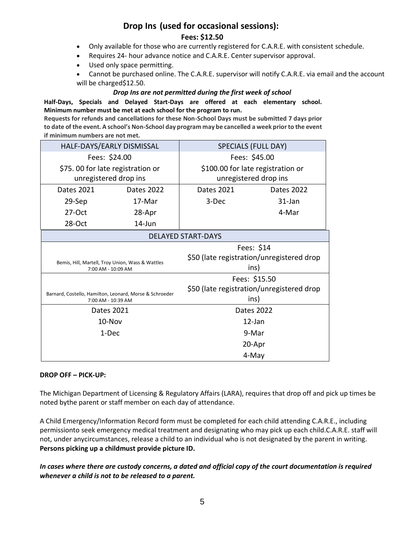## **Drop Ins (used for occasional sessions): Fees: \$12.50**

- Only available for those who are currently registered for C.A.R.E. with consistent schedule.
- Requires 24- hour advance notice and C.A.R.E. Center supervisor approval.
- Used only space permitting.
- Cannot be purchased online. The C.A.R.E. supervisor will notify C.A.R.E. via email and the account will be charged\$12.50.

#### *Drop Ins are not permitted during the first week of school*

#### **Half-Days, Specials and Delayed Start-Days are offered at each elementary school. Minimum number must be met at each school for the program to run.**

**Requests for refunds and cancellations for these Non-School Days must be submitted 7 days prior to date of the event. A school's Non-School day program may be cancelled a week prior to the event if minimum numbers are not met.**

| HALF-DAYS/EARLY DISMISSAL                                                     |            | SPECIALS (FULL DAY)                       |                                           |  |  |
|-------------------------------------------------------------------------------|------------|-------------------------------------------|-------------------------------------------|--|--|
| Fees: \$24.00                                                                 |            | Fees: \$45.00                             |                                           |  |  |
| \$75.00 for late registration or                                              |            | \$100.00 for late registration or         |                                           |  |  |
| unregistered drop ins                                                         |            | unregistered drop ins                     |                                           |  |  |
| Dates 2021                                                                    | Dates 2022 | Dates 2021                                | <b>Dates 2022</b>                         |  |  |
| 29-Sep                                                                        | 17-Mar     | 3-Dec                                     | 31-Jan                                    |  |  |
| $27-Oct$                                                                      | 28-Apr     |                                           | 4-Mar                                     |  |  |
| 28-Oct                                                                        | $14$ -Jun  |                                           |                                           |  |  |
| <b>DELAYED START-DAYS</b>                                                     |            |                                           |                                           |  |  |
| Fees: \$14                                                                    |            |                                           |                                           |  |  |
| Bemis, Hill, Martell, Troy Union, Wass & Wattles<br>7:00 AM - 10:09 AM        |            | \$50 (late registration/unregistered drop |                                           |  |  |
|                                                                               |            | ins)                                      |                                           |  |  |
|                                                                               |            |                                           | Fees: \$15.50                             |  |  |
| Barnard, Costello, Hamilton, Leonard, Morse & Schroeder<br>7:00 AM - 10:39 AM |            |                                           | \$50 (late registration/unregistered drop |  |  |
|                                                                               |            | ins)                                      |                                           |  |  |
| Dates 2021                                                                    |            | Dates 2022                                |                                           |  |  |
| $10$ -Nov                                                                     |            | 12-Jan                                    |                                           |  |  |
| 1-Dec                                                                         |            | 9-Mar                                     |                                           |  |  |
|                                                                               |            |                                           |                                           |  |  |
|                                                                               |            |                                           | 20-Apr                                    |  |  |

#### **DROP OFF – PICK-UP:**

The Michigan Department of Licensing & Regulatory Affairs (LARA), requires that drop off and pick up times be noted bythe parent or staff member on each day of attendance.

A Child Emergency/Information Record form must be completed for each child attending C.A.R.E., including permissionto seek emergency medical treatment and designating who may pick up each child.C.A.R.E. staff will not, under anycircumstances, release a child to an individual who is not designated by the parent in writing. **Persons picking up a childmust provide picture ID.**

#### *In cases where there are custody concerns, a dated and official copy of the court documentation is required whenever a child is not to be released to a parent.*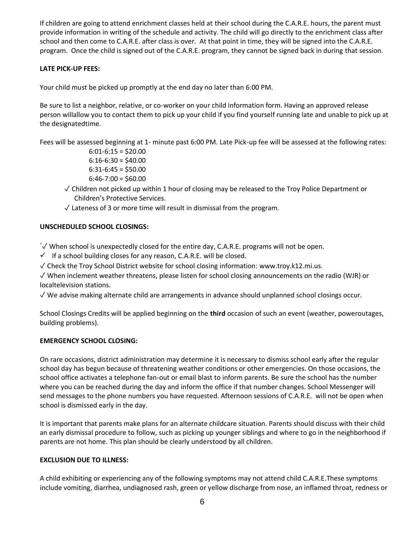If children are going to attend enrichment classes held at their school during the C.A.R.E. hours, the parent must provide information in writing of the schedule and activity. The child will go directly to the enrichment class after school and then come to C.A.R.E. after class is over. At that point in time, they will be signed into the C.A.R.E. program. Once the child is signed out of the C.A.R.E. program, they cannot be signed back in during that session.

#### **LATE PICK-UP FEES:**

Your child must be picked up promptly at the end day no later than 6:00 PM.

Be sure to list a neighbor, relative, or co-worker on your child information form. Having an approved release person willallow you to contact them to pick up your child if you find yourself running late and unable to pick up at the designatedtime.

Fees will be assessed beginning at 1- minute past 6:00 PM. Late Pick-up fee will be assessed at the following rates:

 $6:01-6:15 = $20.00$  $6:16-6:30 = $40.00$  $6:31-6:45 = $50.00$  $6:46-7:00 = $60.00$ 

- ✓ Children not picked up within 1 hour of closing may be released to the Troy Police Department or Children's Protective Services.
- ✓ Lateness of 3 or more time will result in dismissal from the program.

#### **UNSCHEDULED SCHOOL CLOSINGS:**

`✓ When school is unexpectedly closed for the entire day, C.A.R.E. programs will not be open.

 $\checkmark$  If a school building closes for any reason, C.A.R.E. will be closed.

✓ Check the Troy School District website for school closing information: www.troy.k12.mi.us.

✓ When inclement weather threatens, please listen for school closing announcements on the radio (WJR) or localtelevision stations.

✓ We advise making alternate child are arrangements in advance should unplanned school closings occur.

School Closings Credits will be applied beginning on the **third** occasion of such an event (weather, poweroutages, building problems).

#### **EMERGENCY SCHOOL CLOSING:**

On rare occasions, district administration may determine it is necessary to dismiss school early after the regular school day has begun because of threatening weather conditions or other emergencies. On those occasions, the school office activates a telephone fan-out or email blast to inform parents. Be sure the school has the number where you can be reached during the day and inform the office if that number changes. School Messenger will send messages to the phone numbers you have requested. Afternoon sessions of C.A.R.E. will not be open when school is dismissed early in the day.

It is important that parents make plans for an alternate childcare situation. Parents should discuss with their child an early dismissal procedure to follow, such as picking up younger siblings and where to go in the neighborhood if parents are not home. This plan should be clearly understood by all children.

#### **EXCLUSION DUE TO ILLNESS:**

A child exhibiting or experiencing any of the following symptoms may not attend child C.A.R.E.These symptoms include vomiting, diarrhea, undiagnosed rash, green or yellow discharge from nose, an inflamed throat, redness or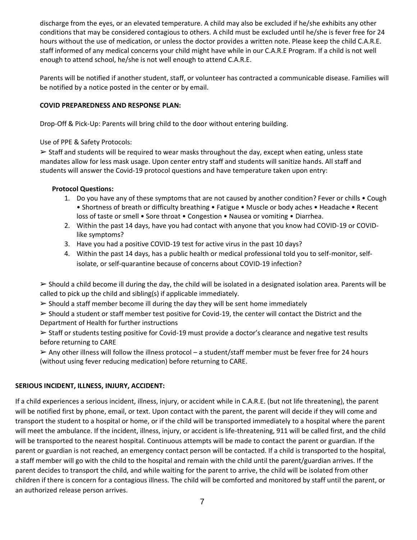discharge from the eyes, or an elevated temperature. A child may also be excluded if he/she exhibits any other conditions that may be considered contagious to others. A child must be excluded until he/she is fever free for 24 hours without the use of medication, or unless the doctor provides a written note. Please keep the child C.A.R.E. staff informed of any medical concerns your child might have while in our C.A.R.E Program. If a child is not well enough to attend school, he/she is not well enough to attend C.A.R.E.

Parents will be notified if another student, staff, or volunteer has contracted a communicable disease. Families will be notified by a notice posted in the center or by email.

#### **COVID PREPAREDNESS AND RESPONSE PLAN:**

Drop-Off & Pick-Up: Parents will bring child to the door without entering building.

Use of PPE & Safety Protocols:

 $\geq$  Staff and students will be required to wear masks throughout the day, except when eating, unless state mandates allow for less mask usage. Upon center entry staff and students will sanitize hands. All staff and students will answer the Covid-19 protocol questions and have temperature taken upon entry:

#### **Protocol Questions:**

- 1. Do you have any of these symptoms that are not caused by another condition? Fever or chills Cough • Shortness of breath or difficulty breathing • Fatigue • Muscle or body aches • Headache • Recent loss of taste or smell • Sore throat • Congestion • Nausea or vomiting • Diarrhea.
- 2. Within the past 14 days, have you had contact with anyone that you know had COVID-19 or COVIDlike symptoms?
- 3. Have you had a positive COVID-19 test for active virus in the past 10 days?
- 4. Within the past 14 days, has a public health or medical professional told you to self-monitor, selfisolate, or self-quarantine because of concerns about COVID-19 infection?

 $\triangleright$  Should a child become ill during the day, the child will be isolated in a designated isolation area. Parents will be called to pick up the child and sibling(s) if applicable immediately.

 $\triangleright$  Should a staff member become ill during the day they will be sent home immediately

 $\geq$  Should a student or staff member test positive for Covid-19, the center will contact the District and the Department of Health for further instructions

➢ Staff or students testing positive for Covid-19 must provide a doctor's clearance and negative test results before returning to CARE

 $\triangleright$  Any other illness will follow the illness protocol – a student/staff member must be fever free for 24 hours (without using fever reducing medication) before returning to CARE.

#### **SERIOUS INCIDENT, ILLNESS, INJURY, ACCIDENT:**

If a child experiences a serious incident, illness, injury, or accident while in C.A.R.E. (but not life threatening), the parent will be notified first by phone, email, or text. Upon contact with the parent, the parent will decide if they will come and transport the student to a hospital or home, or if the child will be transported immediately to a hospital where the parent will meet the ambulance. If the incident, illness, injury, or accident is life-threatening, 911 will be called first, and the child will be transported to the nearest hospital. Continuous attempts will be made to contact the parent or guardian. If the parent or guardian is not reached, an emergency contact person will be contacted. If a child is transported to the hospital, a staff member will go with the child to the hospital and remain with the child until the parent/guardian arrives. If the parent decides to transport the child, and while waiting for the parent to arrive, the child will be isolated from other children if there is concern for a contagious illness. The child will be comforted and monitored by staff until the parent, or an authorized release person arrives.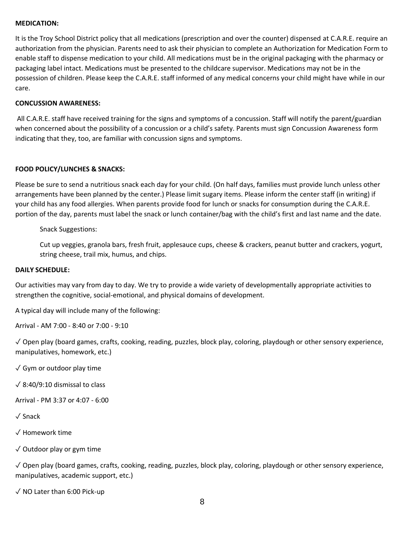#### **MEDICATION:**

It is the Troy School District policy that all medications (prescription and over the counter) dispensed at C.A.R.E. require an authorization from the physician. Parents need to ask their physician to complete an Authorization for Medication Form to enable staff to dispense medication to your child. All medications must be in the original packaging with the pharmacy or packaging label intact. Medications must be presented to the childcare supervisor. Medications may not be in the possession of children. Please keep the C.A.R.E. staff informed of any medical concerns your child might have while in our care.

#### **CONCUSSION AWARENESS:**

All C.A.R.E. staff have received training for the signs and symptoms of a concussion. Staff will notify the parent/guardian when concerned about the possibility of a concussion or a child's safety. Parents must sign Concussion Awareness form indicating that they, too, are familiar with concussion signs and symptoms.

#### **FOOD POLICY/LUNCHES & SNACKS:**

Please be sure to send a nutritious snack each day for your child. (On half days, families must provide lunch unless other arrangements have been planned by the center.) Please limit sugary items. Please inform the center staff (in writing) if your child has any food allergies. When parents provide food for lunch or snacks for consumption during the C.A.R.E. portion of the day, parents must label the snack or lunch container/bag with the child's first and last name and the date.

Snack Suggestions:

Cut up veggies, granola bars, fresh fruit, applesauce cups, cheese & crackers, peanut butter and crackers, yogurt, string cheese, trail mix, humus, and chips.

#### **DAILY SCHEDULE:**

Our activities may vary from day to day. We try to provide a wide variety of developmentally appropriate activities to strengthen the cognitive, social-emotional, and physical domains of development.

A typical day will include many of the following:

Arrival - AM 7:00 - 8:40 or 7:00 - 9:10

✓ Open play (board games, crafts, cooking, reading, puzzles, block play, coloring, playdough or other sensory experience, manipulatives, homework, etc.)

 $\sqrt{G}$ ym or outdoor play time

✓ 8:40/9:10 dismissal to class

Arrival - PM 3:37 or 4:07 - 6:00

✓ Snack

✓ Homework time

✓ Outdoor play or gym time

✓ Open play (board games, crafts, cooking, reading, puzzles, block play, coloring, playdough or other sensory experience, manipulatives, academic support, etc.)

✓ NO Later than 6:00 Pick-up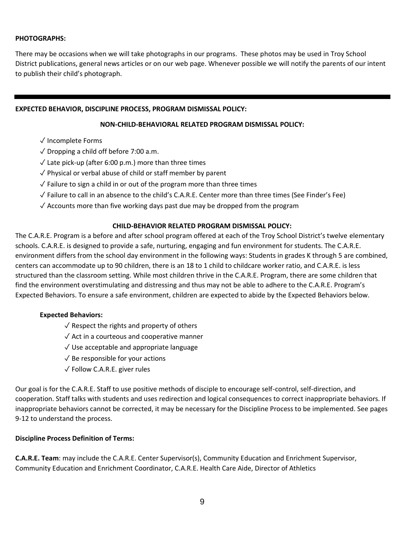#### **PHOTOGRAPHS:**

There may be occasions when we will take photographs in our programs. These photos may be used in Troy School District publications, general news articles or on our web page. Whenever possible we will notify the parents of our intent to publish their child's photograph.

#### **EXPECTED BEHAVIOR, DISCIPLINE PROCESS, PROGRAM DISMISSAL POLICY:**

#### **NON-CHILD-BEHAVIORAL RELATED PROGRAM DISMISSAL POLICY:**

- ✓ Incomplete Forms
- $\sqrt{\frac{1}{1}}$  Dropping a child off before 7:00 a.m.
- $\sqrt{\ }$  Late pick-up (after 6:00 p.m.) more than three times
- ✓ Physical or verbal abuse of child or staff member by parent
- $\sqrt{\ }$  Failure to sign a child in or out of the program more than three times
- ✓ Failure to call in an absence to the child's C.A.R.E. Center more than three times (See Finder's Fee)
- $\sqrt{\ }$  Accounts more than five working days past due may be dropped from the program

#### **CHILD-BEHAVIOR RELATED PROGRAM DISMISSAL POLICY:**

The C.A.R.E. Program is a before and after school program offered at each of the Troy School District's twelve elementary schools. C.A.R.E. is designed to provide a safe, nurturing, engaging and fun environment for students. The C.A.R.E. environment differs from the school day environment in the following ways: Students in grades K through 5 are combined, centers can accommodate up to 90 children, there is an 18 to 1 child to childcare worker ratio, and C.A.R.E. is less structured than the classroom setting. While most children thrive in the C.A.R.E. Program, there are some children that find the environment overstimulating and distressing and thus may not be able to adhere to the C.A.R.E. Program's Expected Behaviors. To ensure a safe environment, children are expected to abide by the Expected Behaviors below.

#### **Expected Behaviors:**

- $\sqrt{\ }$  Respect the rights and property of others
- $\sqrt{\ }$  Act in a courteous and cooperative manner
- $\sqrt{}$  Use acceptable and appropriate language
- $\sqrt{\ }$  Be responsible for your actions
- ✓ Follow C.A.R.E. giver rules

Our goal is for the C.A.R.E. Staff to use positive methods of disciple to encourage self-control, self-direction, and cooperation. Staff talks with students and uses redirection and logical consequences to correct inappropriate behaviors. If inappropriate behaviors cannot be corrected, it may be necessary for the Discipline Process to be implemented. See pages 9-12 to understand the process.

#### **Discipline Process Definition of Terms:**

**C.A.R.E. Team**: may include the C.A.R.E. Center Supervisor(s), Community Education and Enrichment Supervisor, Community Education and Enrichment Coordinator, C.A.R.E. Health Care Aide, Director of Athletics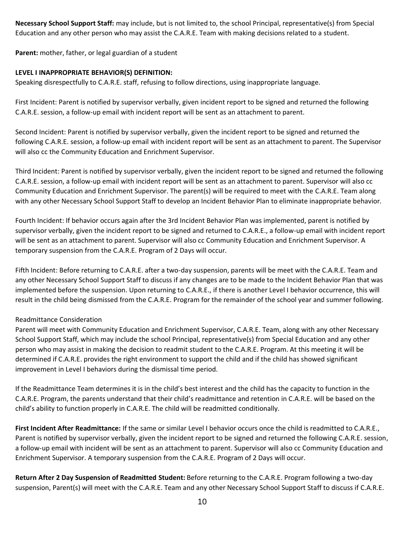**Necessary School Support Staff:** may include, but is not limited to, the school Principal, representative(s) from Special Education and any other person who may assist the C.A.R.E. Team with making decisions related to a student.

**Parent:** mother, father, or legal guardian of a student

#### **LEVEL I INAPPROPRIATE BEHAVIOR(S) DEFINITION:**

Speaking disrespectfully to C.A.R.E. staff, refusing to follow directions, using inappropriate language.

First Incident: Parent is notified by supervisor verbally, given incident report to be signed and returned the following C.A.R.E. session, a follow-up email with incident report will be sent as an attachment to parent.

Second Incident: Parent is notified by supervisor verbally, given the incident report to be signed and returned the following C.A.R.E. session, a follow-up email with incident report will be sent as an attachment to parent. The Supervisor will also cc the Community Education and Enrichment Supervisor.

Third Incident: Parent is notified by supervisor verbally, given the incident report to be signed and returned the following C.A.R.E. session, a follow-up email with incident report will be sent as an attachment to parent. Supervisor will also cc Community Education and Enrichment Supervisor. The parent(s) will be required to meet with the C.A.R.E. Team along with any other Necessary School Support Staff to develop an Incident Behavior Plan to eliminate inappropriate behavior.

Fourth Incident: If behavior occurs again after the 3rd Incident Behavior Plan was implemented, parent is notified by supervisor verbally, given the incident report to be signed and returned to C.A.R.E., a follow-up email with incident report will be sent as an attachment to parent. Supervisor will also cc Community Education and Enrichment Supervisor. A temporary suspension from the C.A.R.E. Program of 2 Days will occur.

Fifth Incident: Before returning to C.A.R.E. after a two-day suspension, parents will be meet with the C.A.R.E. Team and any other Necessary School Support Staff to discuss if any changes are to be made to the Incident Behavior Plan that was implemented before the suspension. Upon returning to C.A.R.E., if there is another Level I behavior occurrence, this will result in the child being dismissed from the C.A.R.E. Program for the remainder of the school year and summer following.

#### Readmittance Consideration

Parent will meet with Community Education and Enrichment Supervisor, C.A.R.E. Team, along with any other Necessary School Support Staff, which may include the school Principal, representative(s) from Special Education and any other person who may assist in making the decision to readmit student to the C.A.R.E. Program. At this meeting it will be determined if C.A.R.E. provides the right environment to support the child and if the child has showed significant improvement in Level I behaviors during the dismissal time period.

If the Readmittance Team determines it is in the child's best interest and the child has the capacity to function in the C.A.R.E. Program, the parents understand that their child's readmittance and retention in C.A.R.E. will be based on the child's ability to function properly in C.A.R.E. The child will be readmitted conditionally.

**First Incident After Readmittance:** If the same or similar Level I behavior occurs once the child is readmitted to C.A.R.E., Parent is notified by supervisor verbally, given the incident report to be signed and returned the following C.A.R.E. session, a follow-up email with incident will be sent as an attachment to parent. Supervisor will also cc Community Education and Enrichment Supervisor. A temporary suspension from the C.A.R.E. Program of 2 Days will occur.

**Return After 2 Day Suspension of Readmitted Student:** Before returning to the C.A.R.E. Program following a two-day suspension, Parent(s) will meet with the C.A.R.E. Team and any other Necessary School Support Staff to discuss if C.A.R.E.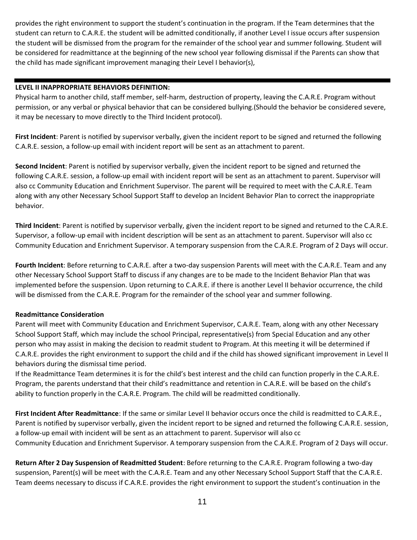provides the right environment to support the student's continuation in the program. If the Team determines that the student can return to C.A.R.E. the student will be admitted conditionally, if another Level I issue occurs after suspension the student will be dismissed from the program for the remainder of the school year and summer following. Student will be considered for readmittance at the beginning of the new school year following dismissal if the Parents can show that the child has made significant improvement managing their Level I behavior(s),

#### **LEVEL II INAPPROPRIATE BEHAVIORS DEFINITION:**

Physical harm to another child, staff member, self-harm, destruction of property, leaving the C.A.R.E. Program without permission, or any verbal or physical behavior that can be considered bullying.(Should the behavior be considered severe, it may be necessary to move directly to the Third Incident protocol).

**First Incident**: Parent is notified by supervisor verbally, given the incident report to be signed and returned the following C.A.R.E. session, a follow-up email with incident report will be sent as an attachment to parent.

**Second Incident**: Parent is notified by supervisor verbally, given the incident report to be signed and returned the following C.A.R.E. session, a follow-up email with incident report will be sent as an attachment to parent. Supervisor will also cc Community Education and Enrichment Supervisor. The parent will be required to meet with the C.A.R.E. Team along with any other Necessary School Support Staff to develop an Incident Behavior Plan to correct the inappropriate behavior.

**Third Incident**: Parent is notified by supervisor verbally, given the incident report to be signed and returned to the C.A.R.E. Supervisor, a follow-up email with incident description will be sent as an attachment to parent. Supervisor will also cc Community Education and Enrichment Supervisor. A temporary suspension from the C.A.R.E. Program of 2 Days will occur.

**Fourth Incident**: Before returning to C.A.R.E. after a two-day suspension Parents will meet with the C.A.R.E. Team and any other Necessary School Support Staff to discuss if any changes are to be made to the Incident Behavior Plan that was implemented before the suspension. Upon returning to C.A.R.E. if there is another Level II behavior occurrence, the child will be dismissed from the C.A.R.E. Program for the remainder of the school year and summer following.

#### **Readmittance Consideration**

Parent will meet with Community Education and Enrichment Supervisor, C.A.R.E. Team, along with any other Necessary School Support Staff, which may include the school Principal, representative(s) from Special Education and any other person who may assist in making the decision to readmit student to Program. At this meeting it will be determined if C.A.R.E. provides the right environment to support the child and if the child has showed significant improvement in Level II behaviors during the dismissal time period.

If the Readmittance Team determines it is for the child's best interest and the child can function properly in the C.A.R.E. Program, the parents understand that their child's readmittance and retention in C.A.R.E. will be based on the child's ability to function properly in the C.A.R.E. Program. The child will be readmitted conditionally.

**First Incident After Readmittance**: If the same or similar Level II behavior occurs once the child is readmitted to C.A.R.E., Parent is notified by supervisor verbally, given the incident report to be signed and returned the following C.A.R.E. session, a follow-up email with incident will be sent as an attachment to parent. Supervisor will also cc Community Education and Enrichment Supervisor. A temporary suspension from the C.A.R.E. Program of 2 Days will occur.

**Return After 2 Day Suspension of Readmitted Student**: Before returning to the C.A.R.E. Program following a two-day suspension, Parent(s) will be meet with the C.A.R.E. Team and any other Necessary School Support Staff that the C.A.R.E. Team deems necessary to discuss if C.A.R.E. provides the right environment to support the student's continuation in the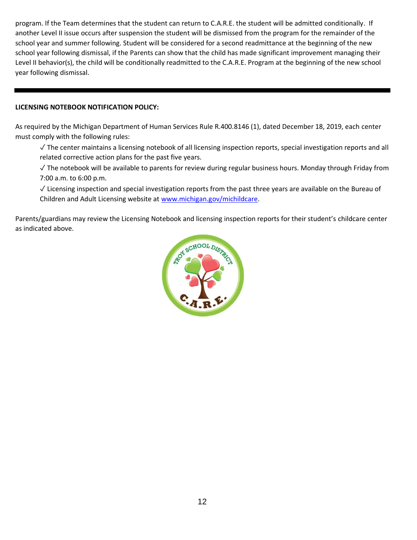program. If the Team determines that the student can return to C.A.R.E. the student will be admitted conditionally. If another Level II issue occurs after suspension the student will be dismissed from the program for the remainder of the school year and summer following. Student will be considered for a second readmittance at the beginning of the new school year following dismissal, if the Parents can show that the child has made significant improvement managing their Level II behavior(s), the child will be conditionally readmitted to the C.A.R.E. Program at the beginning of the new school year following dismissal.

#### **LICENSING NOTEBOOK NOTIFICATION POLICY:**

As required by the Michigan Department of Human Services Rule R.400.8146 (1), dated December 18, 2019, each center must comply with the following rules:

✓ The center maintains a licensing notebook of all licensing inspection reports, special investigation reports and all related corrective action plans for the past five years.

✓ The notebook will be available to parents for review during regular business hours. Monday through Friday from 7:00 a.m. to 6:00 p.m.

✓ Licensing inspection and special investigation reports from the past three years are available on the Bureau of Children and Adult Licensing website at [www.michigan.gov/michildcare.](about:blank)

Parents/guardians may review the Licensing Notebook and licensing inspection reports for their student's childcare center as indicated above.

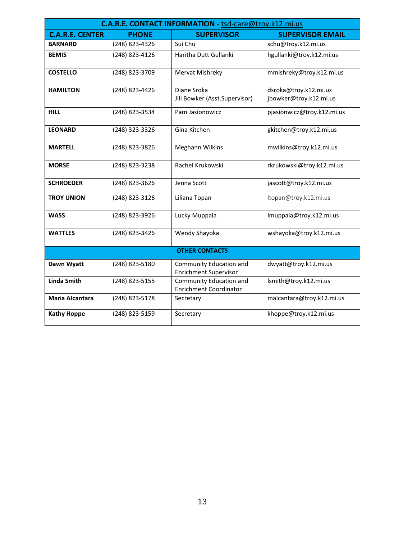| C.A.R.E. CONTACT INFORMATION - tsd-care@troy.k12.mi.us |                |                                                          |                                                 |  |  |  |
|--------------------------------------------------------|----------------|----------------------------------------------------------|-------------------------------------------------|--|--|--|
| <b>C.A.R.E. CENTER</b>                                 | <b>PHONE</b>   | <b>SUPERVISOR</b>                                        | <b>SUPERVISOR EMAIL</b>                         |  |  |  |
| <b>BARNARD</b>                                         | (248) 823-4326 | Sui Chu                                                  | schu@troy.k12.mi.us                             |  |  |  |
| <b>BEMIS</b>                                           | (248) 823-4126 | Haritha Dutt Gullanki                                    | hgullanki@troy.k12.mi.us                        |  |  |  |
| <b>COSTELLO</b>                                        | (248) 823-3709 | Mervat Mishreky                                          | mmishreky@troy.k12.mi.us                        |  |  |  |
| <b>HAMILTON</b>                                        | (248) 823-4426 | Diane Sroka<br>Jill Bowker (Asst.Supervisor)             | dsroka@troy.k12.mi.us<br>jbowker@troy.k12.mi.us |  |  |  |
| <b>HILL</b>                                            | (248) 823-3534 | Pam Jasionowicz                                          | pjasionwicz@troy.k12.mi.us                      |  |  |  |
| <b>LEONARD</b>                                         | (248) 323-3326 | Gina Kitchen                                             | gkitchen@troy.k12.mi.us                         |  |  |  |
| <b>MARTELL</b>                                         | (248) 823-3826 | <b>Meghann Wilkins</b>                                   | mwilkins@troy.k12.mi.us                         |  |  |  |
| <b>MORSE</b>                                           | (248) 823-3238 | Rachel Krukowski                                         | rkrukowski@troy.k12.mi.us                       |  |  |  |
| <b>SCHROEDER</b>                                       | (248) 823-3626 | Jenna Scott                                              | jascott@troy.k12.mi.us                          |  |  |  |
| <b>TROY UNION</b>                                      | (248) 823-3126 | Liliana Topan                                            | ltopan@troy.k12.mi.us                           |  |  |  |
| <b>WASS</b>                                            | (248) 823-3926 | Lucky Muppala                                            | Imuppala@troy.k12.mi.us                         |  |  |  |
| <b>WATTLES</b>                                         | (248) 823-3426 | Wendy Shayoka                                            | wshayoka@troy.k12.mi.us                         |  |  |  |
| <b>OTHER CONTACTS</b>                                  |                |                                                          |                                                 |  |  |  |
| Dawn Wyatt                                             | (248) 823-5180 | Community Education and<br><b>Enrichment Supervisor</b>  | dwyatt@troy.k12.mi.us                           |  |  |  |
| <b>Linda Smith</b>                                     | (248) 823-5155 | Community Education and<br><b>Enrichment Coordinator</b> | lsmith@troy.k12.mi.us                           |  |  |  |
| Maria Alcantara                                        | (248) 823-5178 | Secretary                                                | malcantara@troy.k12.mi.us                       |  |  |  |
| <b>Kathy Hoppe</b>                                     | (248) 823-5159 | Secretary                                                | khoppe@troy.k12.mi.us                           |  |  |  |